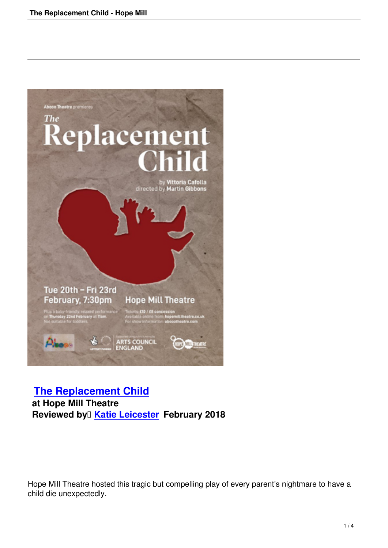

## **The Replacement Child at Hope Mill Theatre [Reviewed by](replacement-child-hope-mill.html) <b>Katie Leicester February 2018**

Hope Mill Theatre hosted this tragic but compelling play of every parent's nightmare to have a child die unexpectedly.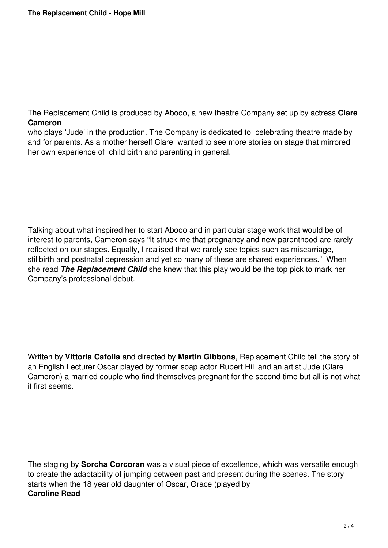The Replacement Child is produced by Abooo, a new theatre Company set up by actress **Clare Cameron**

who plays 'Jude' in the production. The Company is dedicated to celebrating theatre made by and for parents. As a mother herself Clare wanted to see more stories on stage that mirrored her own experience of child birth and parenting in general.

Talking about what inspired her to start Abooo and in particular stage work that would be of interest to parents, Cameron says "It struck me that pregnancy and new parenthood are rarely reflected on our stages. Equally, I realised that we rarely see topics such as miscarriage, stillbirth and postnatal depression and yet so many of these are shared experiences." When she read *The Replacement Child* she knew that this play would be the top pick to mark her Company's professional debut.

Written by **Vittoria Cafolla** and directed by **Martin Gibbons**, Replacement Child tell the story of an English Lecturer Oscar played by former soap actor Rupert Hill and an artist Jude (Clare Cameron) a married couple who find themselves pregnant for the second time but all is not what it first seems.

The staging by **Sorcha Corcoran** was a visual piece of excellence, which was versatile enough to create the adaptability of jumping between past and present during the scenes. The story starts when the 18 year old daughter of Oscar, Grace (played by **Caroline Read**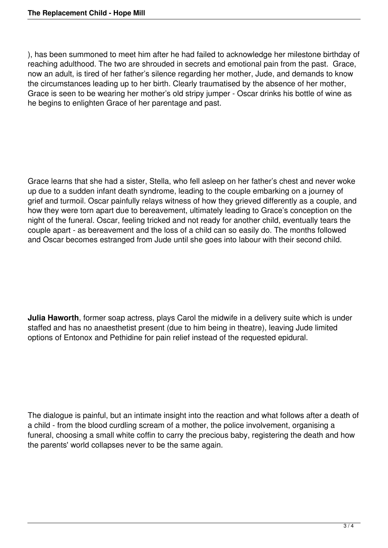), has been summoned to meet him after he had failed to acknowledge her milestone birthday of reaching adulthood. The two are shrouded in secrets and emotional pain from the past. Grace, now an adult, is tired of her father's silence regarding her mother, Jude, and demands to know the circumstances leading up to her birth. Clearly traumatised by the absence of her mother, Grace is seen to be wearing her mother's old stripy jumper - Oscar drinks his bottle of wine as he begins to enlighten Grace of her parentage and past.

Grace learns that she had a sister, Stella, who fell asleep on her father's chest and never woke up due to a sudden infant death syndrome, leading to the couple embarking on a journey of grief and turmoil. Oscar painfully relays witness of how they grieved differently as a couple, and how they were torn apart due to bereavement, ultimately leading to Grace's conception on the night of the funeral. Oscar, feeling tricked and not ready for another child, eventually tears the couple apart - as bereavement and the loss of a child can so easily do. The months followed and Oscar becomes estranged from Jude until she goes into labour with their second child.

**Julia Haworth**, former soap actress, plays Carol the midwife in a delivery suite which is under staffed and has no anaesthetist present (due to him being in theatre), leaving Jude limited options of Entonox and Pethidine for pain relief instead of the requested epidural.

The dialogue is painful, but an intimate insight into the reaction and what follows after a death of a child - from the blood curdling scream of a mother, the police involvement, organising a funeral, choosing a small white coffin to carry the precious baby, registering the death and how the parents' world collapses never to be the same again.